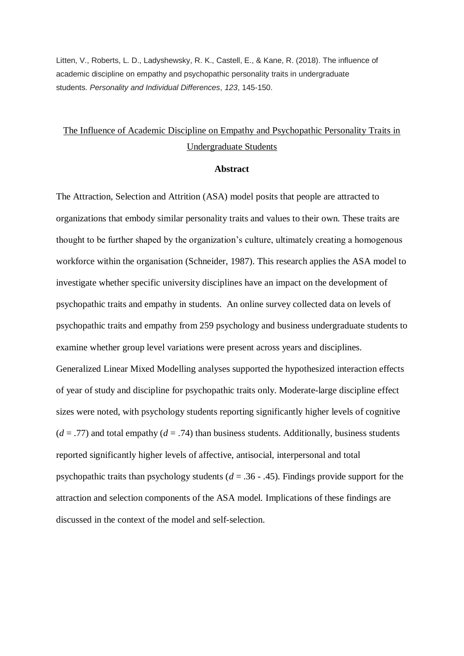Litten, V., Roberts, L. D., Ladyshewsky, R. K., Castell, E., & Kane, R. (2018). The influence of academic discipline on empathy and psychopathic personality traits in undergraduate students. *Personality and Individual Differences*, *123*, 145-150.

## The Influence of Academic Discipline on Empathy and Psychopathic Personality Traits in Undergraduate Students

## **Abstract**

The Attraction, Selection and Attrition (ASA) model posits that people are attracted to organizations that embody similar personality traits and values to their own. These traits are thought to be further shaped by the organization's culture, ultimately creating a homogenous workforce within the organisation (Schneider, 1987). This research applies the ASA model to investigate whether specific university disciplines have an impact on the development of psychopathic traits and empathy in students. An online survey collected data on levels of psychopathic traits and empathy from 259 psychology and business undergraduate students to examine whether group level variations were present across years and disciplines. Generalized Linear Mixed Modelling analyses supported the hypothesized interaction effects of year of study and discipline for psychopathic traits only. Moderate-large discipline effect sizes were noted, with psychology students reporting significantly higher levels of cognitive  $(d = .77)$  and total empathy  $(d = .74)$  than business students. Additionally, business students reported significantly higher levels of affective, antisocial, interpersonal and total psychopathic traits than psychology students (*d* = .36 - .45). Findings provide support for the attraction and selection components of the ASA model. Implications of these findings are discussed in the context of the model and self-selection.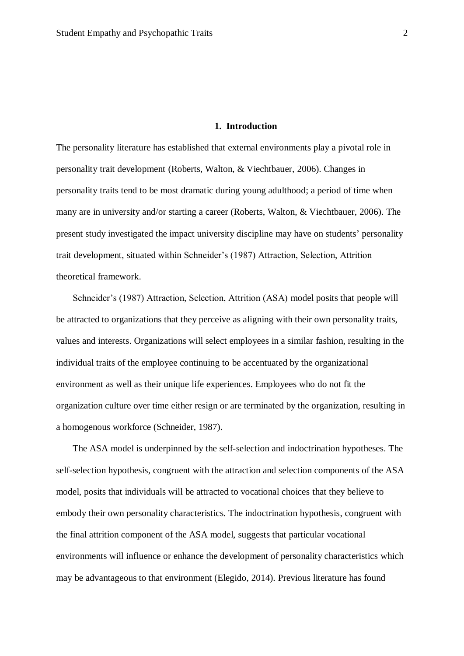## **1. Introduction**

The personality literature has established that external environments play a pivotal role in personality trait development (Roberts, Walton, & Viechtbauer, 2006). Changes in personality traits tend to be most dramatic during young adulthood; a period of time when many are in university and/or starting a career (Roberts, Walton, & Viechtbauer, 2006). The present study investigated the impact university discipline may have on students' personality trait development, situated within Schneider's (1987) Attraction, Selection, Attrition theoretical framework.

Schneider's (1987) Attraction, Selection, Attrition (ASA) model posits that people will be attracted to organizations that they perceive as aligning with their own personality traits, values and interests. Organizations will select employees in a similar fashion, resulting in the individual traits of the employee continuing to be accentuated by the organizational environment as well as their unique life experiences. Employees who do not fit the organization culture over time either resign or are terminated by the organization, resulting in a homogenous workforce (Schneider, 1987).

The ASA model is underpinned by the self-selection and indoctrination hypotheses. The self-selection hypothesis, congruent with the attraction and selection components of the ASA model, posits that individuals will be attracted to vocational choices that they believe to embody their own personality characteristics. The indoctrination hypothesis, congruent with the final attrition component of the ASA model, suggests that particular vocational environments will influence or enhance the development of personality characteristics which may be advantageous to that environment (Elegido, 2014). Previous literature has found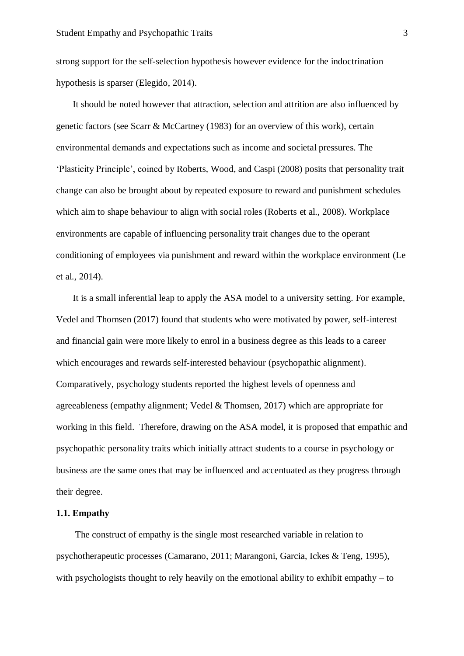strong support for the self-selection hypothesis however evidence for the indoctrination hypothesis is sparser (Elegido, 2014).

It should be noted however that attraction, selection and attrition are also influenced by genetic factors (see Scarr & McCartney (1983) for an overview of this work), certain environmental demands and expectations such as income and societal pressures. The 'Plasticity Principle', coined by Roberts, Wood, and Caspi (2008) posits that personality trait change can also be brought about by repeated exposure to reward and punishment schedules which aim to shape behaviour to align with social roles (Roberts et al., 2008). Workplace environments are capable of influencing personality trait changes due to the operant conditioning of employees via punishment and reward within the workplace environment (Le et al., 2014).

It is a small inferential leap to apply the ASA model to a university setting. For example, Vedel and Thomsen (2017) found that students who were motivated by power, self-interest and financial gain were more likely to enrol in a business degree as this leads to a career which encourages and rewards self-interested behaviour (psychopathic alignment). Comparatively, psychology students reported the highest levels of openness and agreeableness (empathy alignment; Vedel & Thomsen, 2017) which are appropriate for working in this field. Therefore, drawing on the ASA model, it is proposed that empathic and psychopathic personality traits which initially attract students to a course in psychology or business are the same ones that may be influenced and accentuated as they progress through their degree.

#### **1.1. Empathy**

The construct of empathy is the single most researched variable in relation to psychotherapeutic processes (Camarano, 2011; Marangoni, Garcia, Ickes & Teng, 1995), with psychologists thought to rely heavily on the emotional ability to exhibit empathy – to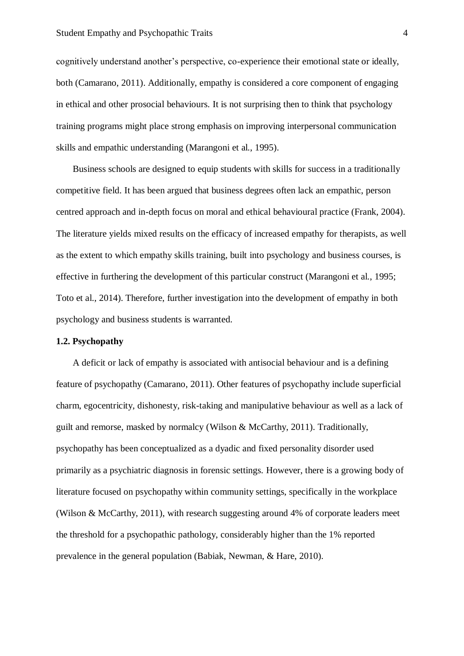cognitively understand another's perspective, co-experience their emotional state or ideally, both (Camarano, 2011). Additionally, empathy is considered a core component of engaging in ethical and other prosocial behaviours. It is not surprising then to think that psychology training programs might place strong emphasis on improving interpersonal communication skills and empathic understanding (Marangoni et al., 1995).

Business schools are designed to equip students with skills for success in a traditionally competitive field. It has been argued that business degrees often lack an empathic, person centred approach and in-depth focus on moral and ethical behavioural practice (Frank, 2004). The literature yields mixed results on the efficacy of increased empathy for therapists, as well as the extent to which empathy skills training, built into psychology and business courses, is effective in furthering the development of this particular construct (Marangoni et al., 1995; Toto et al., 2014). Therefore, further investigation into the development of empathy in both psychology and business students is warranted.

## **1.2. Psychopathy**

A deficit or lack of empathy is associated with antisocial behaviour and is a defining feature of psychopathy (Camarano, 2011). Other features of psychopathy include superficial charm, egocentricity, dishonesty, risk-taking and manipulative behaviour as well as a lack of guilt and remorse, masked by normalcy (Wilson & McCarthy, 2011). Traditionally, psychopathy has been conceptualized as a dyadic and fixed personality disorder used primarily as a psychiatric diagnosis in forensic settings. However, there is a growing body of literature focused on psychopathy within community settings, specifically in the workplace (Wilson & McCarthy, 2011), with research suggesting around 4% of corporate leaders meet the threshold for a psychopathic pathology, considerably higher than the 1% reported prevalence in the general population (Babiak, Newman, & Hare, 2010).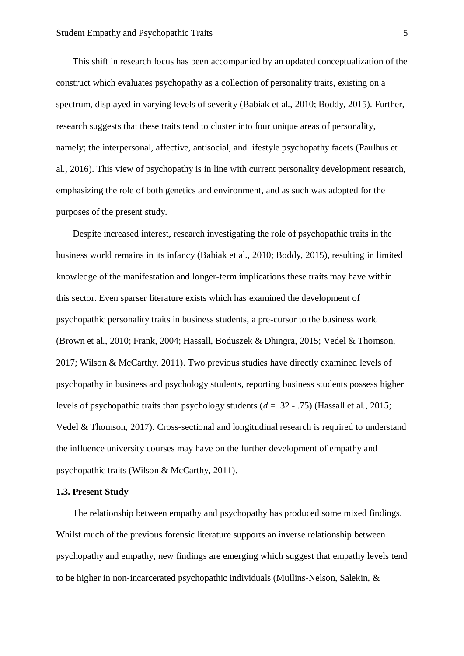This shift in research focus has been accompanied by an updated conceptualization of the construct which evaluates psychopathy as a collection of personality traits, existing on a spectrum, displayed in varying levels of severity (Babiak et al., 2010; Boddy, 2015). Further, research suggests that these traits tend to cluster into four unique areas of personality, namely; the interpersonal, affective, antisocial, and lifestyle psychopathy facets (Paulhus et al., 2016). This view of psychopathy is in line with current personality development research, emphasizing the role of both genetics and environment, and as such was adopted for the purposes of the present study.

Despite increased interest, research investigating the role of psychopathic traits in the business world remains in its infancy (Babiak et al., 2010; Boddy, 2015), resulting in limited knowledge of the manifestation and longer-term implications these traits may have within this sector. Even sparser literature exists which has examined the development of psychopathic personality traits in business students, a pre-cursor to the business world (Brown et al., 2010; Frank, 2004; Hassall, Boduszek & Dhingra, 2015; Vedel & Thomson, 2017; Wilson & McCarthy, 2011). Two previous studies have directly examined levels of psychopathy in business and psychology students, reporting business students possess higher levels of psychopathic traits than psychology students (*d* = .32 - .75) (Hassall et al., 2015; Vedel & Thomson, 2017). Cross-sectional and longitudinal research is required to understand the influence university courses may have on the further development of empathy and psychopathic traits (Wilson & McCarthy, 2011).

#### **1.3. Present Study**

The relationship between empathy and psychopathy has produced some mixed findings. Whilst much of the previous forensic literature supports an inverse relationship between psychopathy and empathy, new findings are emerging which suggest that empathy levels tend to be higher in non-incarcerated psychopathic individuals (Mullins-Nelson, Salekin, &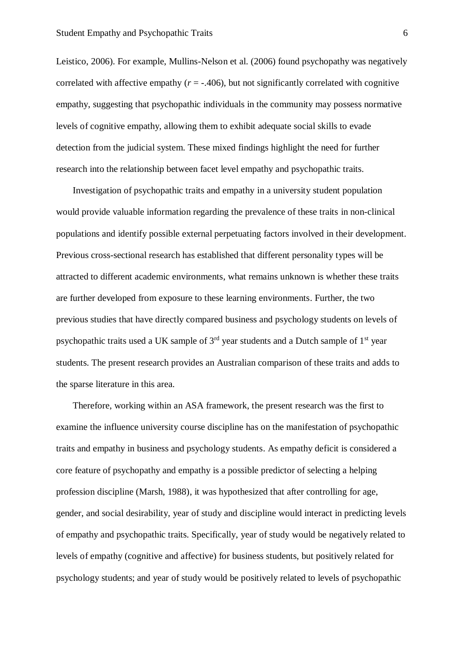Leistico, 2006). For example, Mullins-Nelson et al. (2006) found psychopathy was negatively correlated with affective empathy  $(r = -0.406)$ , but not significantly correlated with cognitive empathy, suggesting that psychopathic individuals in the community may possess normative levels of cognitive empathy, allowing them to exhibit adequate social skills to evade detection from the judicial system. These mixed findings highlight the need for further research into the relationship between facet level empathy and psychopathic traits.

Investigation of psychopathic traits and empathy in a university student population would provide valuable information regarding the prevalence of these traits in non-clinical populations and identify possible external perpetuating factors involved in their development. Previous cross-sectional research has established that different personality types will be attracted to different academic environments, what remains unknown is whether these traits are further developed from exposure to these learning environments. Further, the two previous studies that have directly compared business and psychology students on levels of psychopathic traits used a UK sample of  $3<sup>rd</sup>$  year students and a Dutch sample of  $1<sup>st</sup>$  year students. The present research provides an Australian comparison of these traits and adds to the sparse literature in this area.

Therefore, working within an ASA framework, the present research was the first to examine the influence university course discipline has on the manifestation of psychopathic traits and empathy in business and psychology students. As empathy deficit is considered a core feature of psychopathy and empathy is a possible predictor of selecting a helping profession discipline (Marsh, 1988), it was hypothesized that after controlling for age, gender, and social desirability, year of study and discipline would interact in predicting levels of empathy and psychopathic traits. Specifically, year of study would be negatively related to levels of empathy (cognitive and affective) for business students, but positively related for psychology students; and year of study would be positively related to levels of psychopathic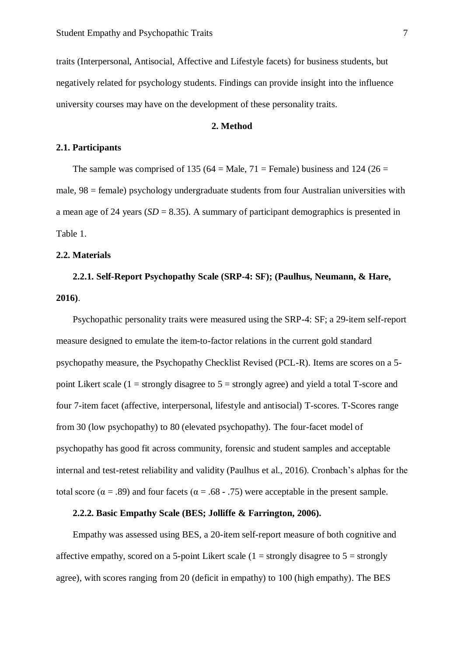traits (Interpersonal, Antisocial, Affective and Lifestyle facets) for business students, but negatively related for psychology students. Findings can provide insight into the influence university courses may have on the development of these personality traits.

## **2. Method**

#### **2.1. Participants**

The sample was comprised of 135 (64 = Male, 71 = Female) business and 124 (26 = male, 98 = female) psychology undergraduate students from four Australian universities with a mean age of 24 years  $(SD = 8.35)$ . A summary of participant demographics is presented in Table 1.

## **2.2. Materials**

# **2.2.1. Self-Report Psychopathy Scale (SRP-4: SF); (Paulhus, Neumann, & Hare, 2016)**.

Psychopathic personality traits were measured using the SRP-4: SF; a 29-item self-report measure designed to emulate the item-to-factor relations in the current gold standard psychopathy measure, the Psychopathy Checklist Revised (PCL-R). Items are scores on a 5 point Likert scale (1 = strongly disagree to  $5$  = strongly agree) and yield a total T-score and four 7-item facet (affective, interpersonal, lifestyle and antisocial) T-scores. T-Scores range from 30 (low psychopathy) to 80 (elevated psychopathy). The four-facet model of psychopathy has good fit across community, forensic and student samples and acceptable internal and test-retest reliability and validity (Paulhus et al., 2016). Cronbach's alphas for the total score ( $\alpha = .89$ ) and four facets ( $\alpha = .68 - .75$ ) were acceptable in the present sample.

## **2.2.2. Basic Empathy Scale (BES; Jolliffe & Farrington, 2006).**

Empathy was assessed using BES, a 20-item self-report measure of both cognitive and affective empathy, scored on a 5-point Likert scale (1 = strongly disagree to  $5 =$  strongly agree), with scores ranging from 20 (deficit in empathy) to 100 (high empathy). The BES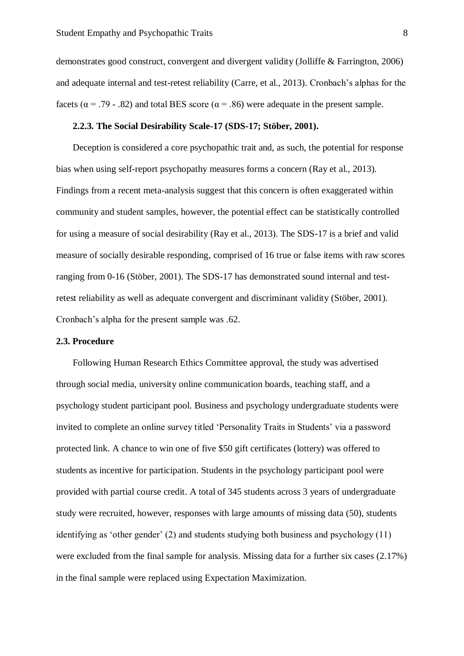demonstrates good construct, convergent and divergent validity (Jolliffe & Farrington, 2006) and adequate internal and test-retest reliability (Carre, et al., 2013). Cronbach's alphas for the facets ( $\alpha$  = .79 - .82) and total BES score ( $\alpha$  = .86) were adequate in the present sample.

#### **2.2.3. The Social Desirability Scale-17 (SDS-17; Stöber, 2001).**

Deception is considered a core psychopathic trait and, as such, the potential for response bias when using self-report psychopathy measures forms a concern (Ray et al., 2013). Findings from a recent meta-analysis suggest that this concern is often exaggerated within community and student samples, however, the potential effect can be statistically controlled for using a measure of social desirability (Ray et al., 2013). The SDS-17 is a brief and valid measure of socially desirable responding, comprised of 16 true or false items with raw scores ranging from 0-16 (Stöber, 2001). The SDS-17 has demonstrated sound internal and testretest reliability as well as adequate convergent and discriminant validity (Stöber, 2001). Cronbach's alpha for the present sample was .62.

## **2.3. Procedure**

Following Human Research Ethics Committee approval, the study was advertised through social media, university online communication boards, teaching staff, and a psychology student participant pool. Business and psychology undergraduate students were invited to complete an online survey titled 'Personality Traits in Students' via a password protected link. A chance to win one of five \$50 gift certificates (lottery) was offered to students as incentive for participation. Students in the psychology participant pool were provided with partial course credit. A total of 345 students across 3 years of undergraduate study were recruited, however, responses with large amounts of missing data (50), students identifying as 'other gender' (2) and students studying both business and psychology (11) were excluded from the final sample for analysis. Missing data for a further six cases (2.17%) in the final sample were replaced using Expectation Maximization.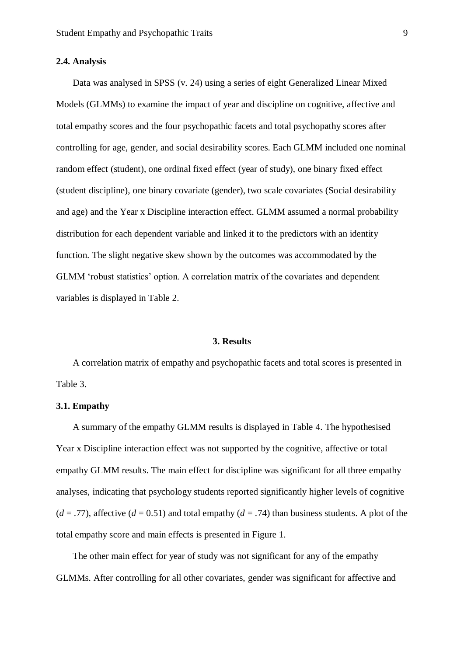#### **2.4. Analysis**

Data was analysed in SPSS (v. 24) using a series of eight Generalized Linear Mixed Models (GLMMs) to examine the impact of year and discipline on cognitive, affective and total empathy scores and the four psychopathic facets and total psychopathy scores after controlling for age, gender, and social desirability scores. Each GLMM included one nominal random effect (student), one ordinal fixed effect (year of study), one binary fixed effect (student discipline), one binary covariate (gender), two scale covariates (Social desirability and age) and the Year x Discipline interaction effect. GLMM assumed a normal probability distribution for each dependent variable and linked it to the predictors with an identity function. The slight negative skew shown by the outcomes was accommodated by the GLMM 'robust statistics' option. A correlation matrix of the covariates and dependent variables is displayed in Table 2.

#### **3. Results**

A correlation matrix of empathy and psychopathic facets and total scores is presented in Table 3.

## **3.1. Empathy**

A summary of the empathy GLMM results is displayed in Table 4. The hypothesised Year x Discipline interaction effect was not supported by the cognitive, affective or total empathy GLMM results. The main effect for discipline was significant for all three empathy analyses, indicating that psychology students reported significantly higher levels of cognitive  $(d = .77)$ , affective  $(d = 0.51)$  and total empathy  $(d = .74)$  than business students. A plot of the total empathy score and main effects is presented in Figure 1.

The other main effect for year of study was not significant for any of the empathy GLMMs. After controlling for all other covariates, gender was significant for affective and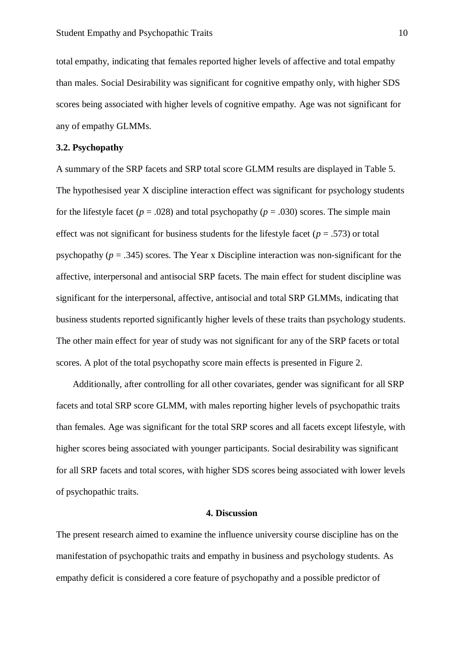total empathy, indicating that females reported higher levels of affective and total empathy than males. Social Desirability was significant for cognitive empathy only, with higher SDS scores being associated with higher levels of cognitive empathy. Age was not significant for any of empathy GLMMs.

#### **3.2. Psychopathy**

A summary of the SRP facets and SRP total score GLMM results are displayed in Table 5. The hypothesised year X discipline interaction effect was significant for psychology students for the lifestyle facet ( $p = .028$ ) and total psychopathy ( $p = .030$ ) scores. The simple main effect was not significant for business students for the lifestyle facet ( $p = .573$ ) or total psychopathy (*p* = .345) scores. The Year x Discipline interaction was non-significant for the affective, interpersonal and antisocial SRP facets. The main effect for student discipline was significant for the interpersonal, affective, antisocial and total SRP GLMMs, indicating that business students reported significantly higher levels of these traits than psychology students. The other main effect for year of study was not significant for any of the SRP facets or total scores. A plot of the total psychopathy score main effects is presented in Figure 2.

Additionally, after controlling for all other covariates, gender was significant for all SRP facets and total SRP score GLMM, with males reporting higher levels of psychopathic traits than females. Age was significant for the total SRP scores and all facets except lifestyle, with higher scores being associated with younger participants. Social desirability was significant for all SRP facets and total scores, with higher SDS scores being associated with lower levels of psychopathic traits.

#### **4. Discussion**

The present research aimed to examine the influence university course discipline has on the manifestation of psychopathic traits and empathy in business and psychology students. As empathy deficit is considered a core feature of psychopathy and a possible predictor of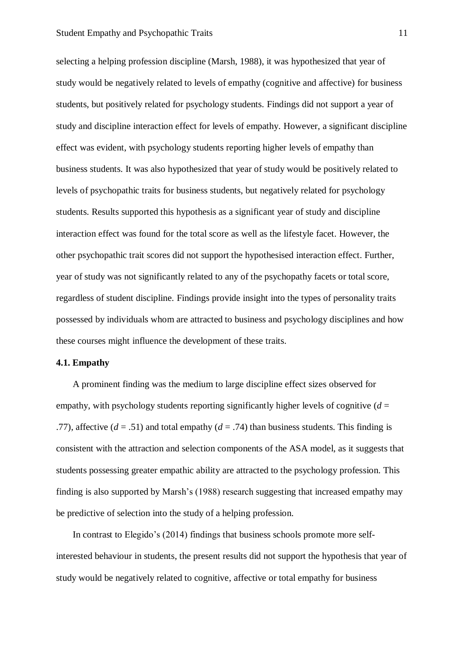selecting a helping profession discipline (Marsh, 1988), it was hypothesized that year of study would be negatively related to levels of empathy (cognitive and affective) for business students, but positively related for psychology students. Findings did not support a year of study and discipline interaction effect for levels of empathy. However, a significant discipline effect was evident, with psychology students reporting higher levels of empathy than business students. It was also hypothesized that year of study would be positively related to levels of psychopathic traits for business students, but negatively related for psychology students. Results supported this hypothesis as a significant year of study and discipline interaction effect was found for the total score as well as the lifestyle facet. However, the other psychopathic trait scores did not support the hypothesised interaction effect. Further, year of study was not significantly related to any of the psychopathy facets or total score, regardless of student discipline. Findings provide insight into the types of personality traits possessed by individuals whom are attracted to business and psychology disciplines and how these courses might influence the development of these traits.

#### **4.1. Empathy**

A prominent finding was the medium to large discipline effect sizes observed for empathy, with psychology students reporting significantly higher levels of cognitive  $(d =$ .77), affective  $(d = .51)$  and total empathy  $(d = .74)$  than business students. This finding is consistent with the attraction and selection components of the ASA model, as it suggests that students possessing greater empathic ability are attracted to the psychology profession. This finding is also supported by Marsh's (1988) research suggesting that increased empathy may be predictive of selection into the study of a helping profession.

In contrast to Elegido's (2014) findings that business schools promote more selfinterested behaviour in students, the present results did not support the hypothesis that year of study would be negatively related to cognitive, affective or total empathy for business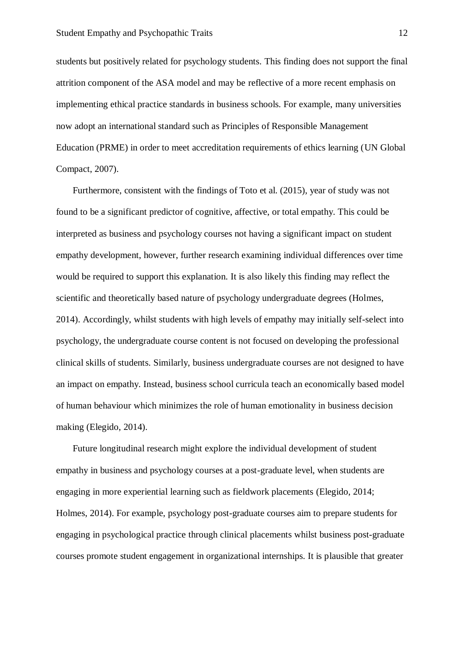students but positively related for psychology students. This finding does not support the final attrition component of the ASA model and may be reflective of a more recent emphasis on implementing ethical practice standards in business schools. For example, many universities now adopt an international standard such as Principles of Responsible Management Education (PRME) in order to meet accreditation requirements of ethics learning (UN Global Compact, 2007).

Furthermore, consistent with the findings of Toto et al. (2015), year of study was not found to be a significant predictor of cognitive, affective, or total empathy. This could be interpreted as business and psychology courses not having a significant impact on student empathy development, however, further research examining individual differences over time would be required to support this explanation. It is also likely this finding may reflect the scientific and theoretically based nature of psychology undergraduate degrees (Holmes, 2014). Accordingly, whilst students with high levels of empathy may initially self-select into psychology, the undergraduate course content is not focused on developing the professional clinical skills of students. Similarly, business undergraduate courses are not designed to have an impact on empathy. Instead, business school curricula teach an economically based model of human behaviour which minimizes the role of human emotionality in business decision making (Elegido, 2014).

Future longitudinal research might explore the individual development of student empathy in business and psychology courses at a post-graduate level, when students are engaging in more experiential learning such as fieldwork placements (Elegido, 2014; Holmes, 2014). For example, psychology post-graduate courses aim to prepare students for engaging in psychological practice through clinical placements whilst business post-graduate courses promote student engagement in organizational internships. It is plausible that greater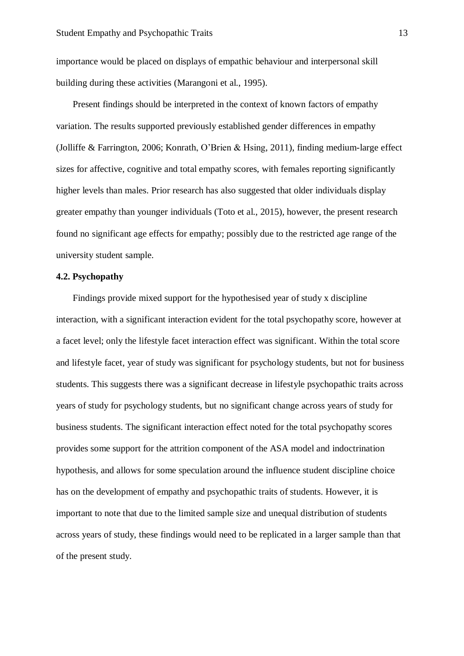importance would be placed on displays of empathic behaviour and interpersonal skill building during these activities (Marangoni et al., 1995).

Present findings should be interpreted in the context of known factors of empathy variation. The results supported previously established gender differences in empathy (Jolliffe & Farrington, 2006; Konrath, O'Brien & Hsing, 2011), finding medium-large effect sizes for affective, cognitive and total empathy scores, with females reporting significantly higher levels than males. Prior research has also suggested that older individuals display greater empathy than younger individuals (Toto et al., 2015), however, the present research found no significant age effects for empathy; possibly due to the restricted age range of the university student sample.

## **4.2. Psychopathy**

Findings provide mixed support for the hypothesised year of study x discipline interaction, with a significant interaction evident for the total psychopathy score, however at a facet level; only the lifestyle facet interaction effect was significant. Within the total score and lifestyle facet, year of study was significant for psychology students, but not for business students. This suggests there was a significant decrease in lifestyle psychopathic traits across years of study for psychology students, but no significant change across years of study for business students. The significant interaction effect noted for the total psychopathy scores provides some support for the attrition component of the ASA model and indoctrination hypothesis, and allows for some speculation around the influence student discipline choice has on the development of empathy and psychopathic traits of students. However, it is important to note that due to the limited sample size and unequal distribution of students across years of study, these findings would need to be replicated in a larger sample than that of the present study.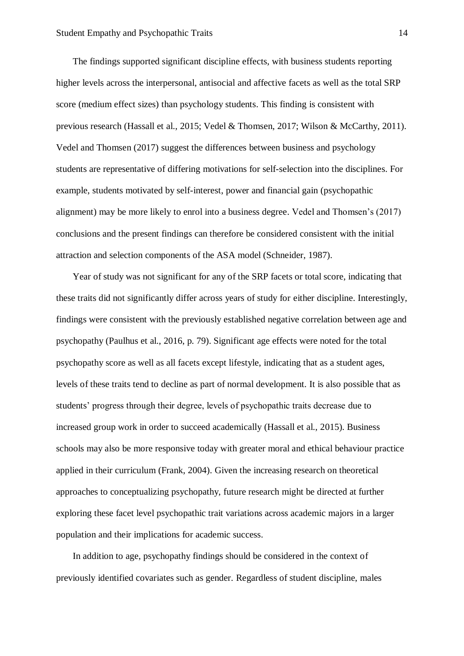The findings supported significant discipline effects, with business students reporting higher levels across the interpersonal, antisocial and affective facets as well as the total SRP score (medium effect sizes) than psychology students. This finding is consistent with previous research (Hassall et al., 2015; Vedel & Thomsen, 2017; Wilson & McCarthy, 2011). Vedel and Thomsen (2017) suggest the differences between business and psychology students are representative of differing motivations for self-selection into the disciplines. For example, students motivated by self-interest, power and financial gain (psychopathic alignment) may be more likely to enrol into a business degree. Vedel and Thomsen's (2017) conclusions and the present findings can therefore be considered consistent with the initial attraction and selection components of the ASA model (Schneider, 1987).

Year of study was not significant for any of the SRP facets or total score, indicating that these traits did not significantly differ across years of study for either discipline. Interestingly, findings were consistent with the previously established negative correlation between age and psychopathy (Paulhus et al., 2016, p. 79). Significant age effects were noted for the total psychopathy score as well as all facets except lifestyle, indicating that as a student ages, levels of these traits tend to decline as part of normal development. It is also possible that as students' progress through their degree, levels of psychopathic traits decrease due to increased group work in order to succeed academically (Hassall et al., 2015). Business schools may also be more responsive today with greater moral and ethical behaviour practice applied in their curriculum (Frank, 2004). Given the increasing research on theoretical approaches to conceptualizing psychopathy, future research might be directed at further exploring these facet level psychopathic trait variations across academic majors in a larger population and their implications for academic success.

In addition to age, psychopathy findings should be considered in the context of previously identified covariates such as gender. Regardless of student discipline, males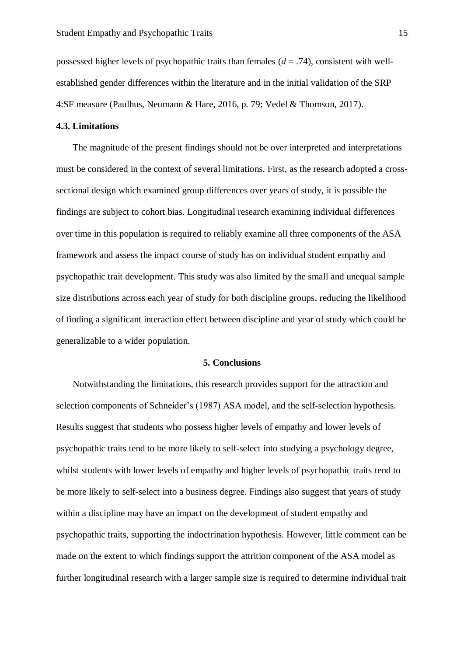possessed higher levels of psychopathic traits than females (*d* = .74), consistent with wellestablished gender differences within the literature and in the initial validation of the SRP 4:SF measure (Paulhus, Neumann & Hare, 2016, p. 79; Vedel & Thomson, 2017).

## **4.3. Limitations**

The magnitude of the present findings should not be over interpreted and interpretations must be considered in the context of several limitations. First, as the research adopted a crosssectional design which examined group differences over years of study, it is possible the findings are subject to cohort bias. Longitudinal research examining individual differences over time in this population is required to reliably examine all three components of the ASA framework and assess the impact course of study has on individual student empathy and psychopathic trait development. This study was also limited by the small and unequal sample size distributions across each year of study for both discipline groups, reducing the likelihood of finding a significant interaction effect between discipline and year of study which could be generalizable to a wider population.

#### **5. Conclusions**

Notwithstanding the limitations, this research provides support for the attraction and selection components of Schneider's (1987) ASA model, and the self-selection hypothesis. Results suggest that students who possess higher levels of empathy and lower levels of psychopathic traits tend to be more likely to self-select into studying a psychology degree, whilst students with lower levels of empathy and higher levels of psychopathic traits tend to be more likely to self-select into a business degree. Findings also suggest that years of study within a discipline may have an impact on the development of student empathy and psychopathic traits, supporting the indoctrination hypothesis. However, little comment can be made on the extent to which findings support the attrition component of the ASA model as further longitudinal research with a larger sample size is required to determine individual trait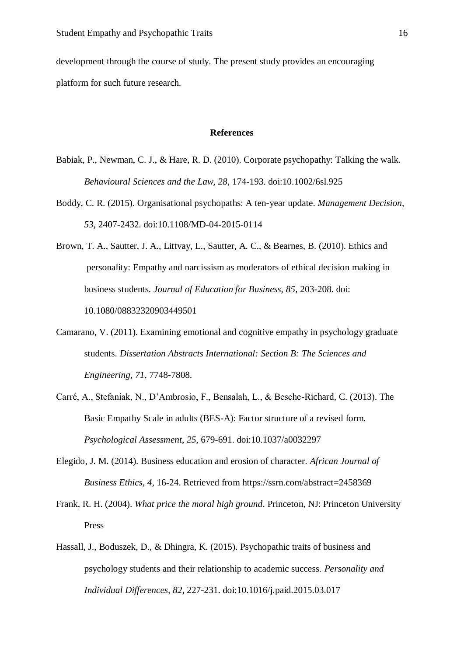development through the course of study. The present study provides an encouraging platform for such future research.

#### **References**

- Babiak, P., Newman, C. J., & Hare, R. D. (2010). Corporate psychopathy: Talking the walk. *Behavioural Sciences and the Law, 28*, 174-193. doi:10.1002/6sl.925
- Boddy, C. R. (2015). Organisational psychopaths: A ten-year update. *Management Decision, 53*, 2407-2432. doi:10.1108/MD-04-2015-0114
- Brown, T. A., Sautter, J. A., Littvay, L., Sautter, A. C., & Bearnes, B. (2010). Ethics and personality: Empathy and narcissism as moderators of ethical decision making in business students. *Journal of Education for Business, 85*, 203-208. doi: 10.1080/08832320903449501
- Camarano, V. (2011). Examining emotional and cognitive empathy in psychology graduate students. *Dissertation Abstracts International: Section B: The Sciences and Engineering, 71*, 7748-7808.
- Carré, A., Stefaniak, N., D'Ambrosio, F., Bensalah, L., & Besche-Richard, C. (2013). The Basic Empathy Scale in adults (BES-A): Factor structure of a revised form. *Psychological Assessment, 25*, 679-691. doi:10.1037/a0032297
- Elegido, J. M. (2014). Business education and erosion of character. *African Journal of Business Ethics, 4*, 16-24. Retrieved from https://ssrn.com/abstract=2458369
- Frank, R. H. (2004). *What price the moral high ground*. Princeton, NJ: Princeton University Press
- Hassall, J., Boduszek, D., & Dhingra, K. (2015). Psychopathic traits of business and psychology students and their relationship to academic success. *Personality and Individual Differences, 82*, 227-231. doi:10.1016/j.paid.2015.03.017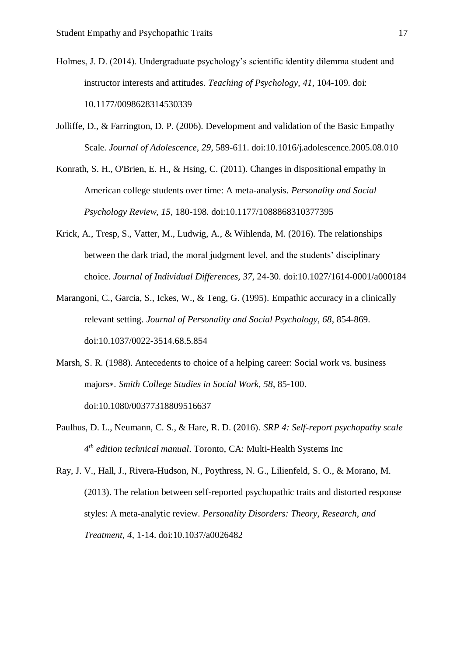- Holmes, J. D. (2014). Undergraduate psychology's scientific identity dilemma student and instructor interests and attitudes. *Teaching of Psychology, 41*, 104-109. doi: 10.1177/0098628314530339
- Jolliffe, D., & Farrington, D. P. (2006). Development and validation of the Basic Empathy Scale. *Journal of Adolescence, 29*, 589-611. doi:10.1016/j.adolescence.2005.08.010
- Konrath, S. H., O'Brien, E. H., & Hsing, C. (2011). Changes in dispositional empathy in American college students over time: A meta-analysis. *Personality and Social Psychology Review, 15*, 180-198. doi:10.1177/1088868310377395
- Krick, A., Tresp, S., Vatter, M., Ludwig, A., & Wihlenda, M. (2016). The relationships between the dark triad, the moral judgment level, and the students' disciplinary choice. *Journal of Individual Differences, 37,* 24-30. doi:10.1027/1614-0001/a000184
- Marangoni, C., Garcia, S., Ickes, W., & Teng, G. (1995). Empathic accuracy in a clinically relevant setting. *Journal of Personality and Social Psychology, 68*, 854-869. doi:10.1037/0022-3514.68.5.854
- Marsh, S. R. (1988). Antecedents to choice of a helping career: Social work vs. business majors∗. *Smith College Studies in Social Work, 58*, 85-100. doi:10.1080/00377318809516637
- Paulhus, D. L., Neumann, C. S., & Hare, R. D. (2016). *SRP 4: Self-report psychopathy scale 4 th edition technical manual*. Toronto, CA: Multi-Health Systems Inc
- Ray, J. V., Hall, J., Rivera-Hudson, N., Poythress, N. G., Lilienfeld, S. O., & Morano, M. (2013). The relation between self-reported psychopathic traits and distorted response styles: A meta-analytic review. *Personality Disorders: Theory, Research, and Treatment, 4,* 1-14. doi:10.1037/a0026482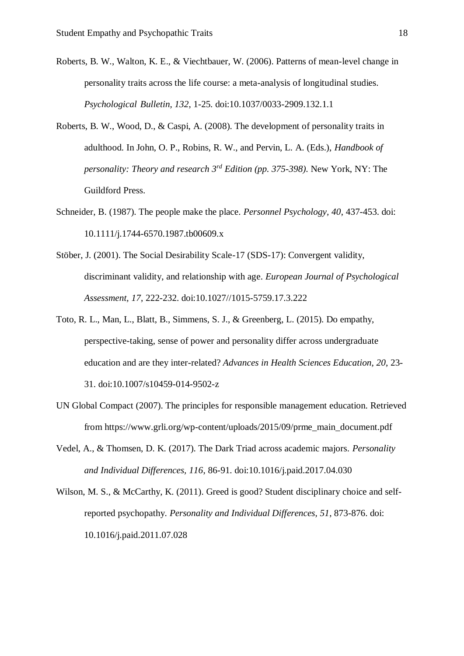- Roberts, B. W., Walton, K. E., & Viechtbauer, W. (2006). Patterns of mean-level change in personality traits across the life course: a meta-analysis of longitudinal studies. *Psychological Bulletin, 132*, 1-25. doi:10.1037/0033-2909.132.1.1
- Roberts, B. W., Wood, D., & Caspi, A. (2008). The development of personality traits in adulthood. In John, O. P., Robins, R. W., and Pervin, L. A. (Eds.), *Handbook of personality: Theory and research 3rd Edition (pp. 375-398).* New York, NY: The Guildford Press.
- Schneider, B. (1987). The people make the place. *Personnel Psychology, 40*, 437-453. doi: 10.1111/j.1744-6570.1987.tb00609.x
- Stöber, J. (2001). The Social Desirability Scale-17 (SDS-17): Convergent validity, discriminant validity, and relationship with age. *European Journal of Psychological Assessment, 17*, 222-232. doi:10.1027//1015-5759.17.3.222
- Toto, R. L., Man, L., Blatt, B., Simmens, S. J., & Greenberg, L. (2015). Do empathy, perspective-taking, sense of power and personality differ across undergraduate education and are they inter-related? *Advances in Health Sciences Education, 20*, 23- 31. doi:10.1007/s10459-014-9502-z
- UN Global Compact (2007). The principles for responsible management education. Retrieved from https://www.grli.org/wp-content/uploads/2015/09/prme\_main\_document.pdf
- Vedel, A., & Thomsen, D. K. (2017). The Dark Triad across academic majors. *Personality and Individual Differences, 116*, 86-91. doi:10.1016/j.paid.2017.04.030
- Wilson, M. S., & McCarthy, K. (2011). Greed is good? Student disciplinary choice and selfreported psychopathy. *Personality and Individual Differences, 51*, 873-876. doi: 10.1016/j.paid.2011.07.028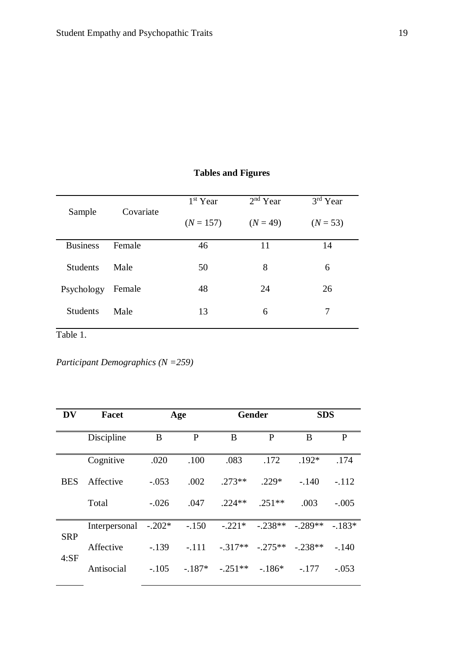|                 |           | 1 <sup>st</sup> Year | $2nd$ Year | $\overline{3}$ <sup>rd</sup> Year |
|-----------------|-----------|----------------------|------------|-----------------------------------|
| Sample          | Covariate | $(N = 157)$          | $(N = 49)$ | $(N = 53)$                        |
| <b>Business</b> | Female    | 46                   | 11         | 14                                |
| <b>Students</b> | Male      | 50                   | 8          | 6                                 |
| Psychology      | Female    | 48                   | 24         | 26                                |
| <b>Students</b> | Male      | 13                   | 6          | 7                                 |

## **Tables and Figures**

Table 1.

*Participant Demographics (N =259)*

| DV         | Facet         |          | Age      |           | <b>Gender</b> | <b>SDS</b> |          |
|------------|---------------|----------|----------|-----------|---------------|------------|----------|
|            | Discipline    | B        | P        | B         | P             | B          | P        |
|            | Cognitive     | .020     | .100     | .083      | .172          | $.192*$    | .174     |
| <b>BES</b> | Affective     | $-.053$  | .002     | $273**$   | $229*$        | $-.140$    | $-.112$  |
|            | Total         | $-.026$  | .047     | $224**$   | $.251**$      | .003       | $-.005$  |
| <b>SRP</b> | Interpersonal | $-.202*$ | $-.150$  | $-.221*$  | $-.238**$     | $-.289**$  | $-.183*$ |
| 4:SF       | Affective     | $-139$   | $-.111$  | $-.317**$ | $-275**$      | $-.238**$  | $-.140$  |
|            | Antisocial    | $-.105$  | $-.187*$ | $-.251**$ | $-186*$       | $-.177$    | $-.053$  |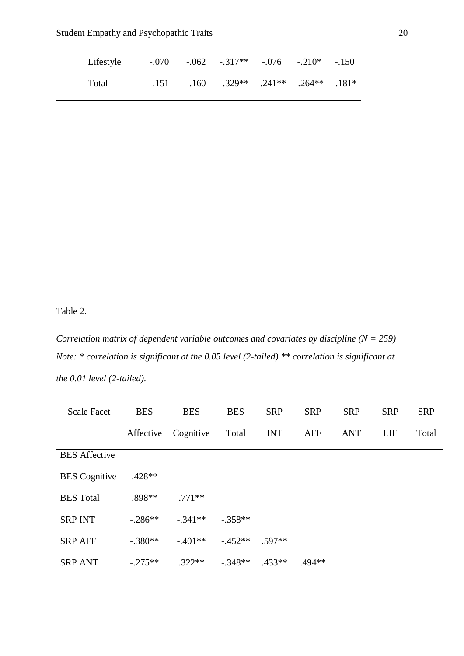| Lifestyle |  | $-.070$ $-.062$ $-.317**$ $-.076$ $-.210*$ $-.150$ |  |  |
|-----------|--|----------------------------------------------------|--|--|
| Total     |  | $-.151-.160-.329**-.241**-.264**-.181*$            |  |  |

Table 2.

*Correlation matrix of dependent variable outcomes and covariates by discipline (N = 259) Note: \* correlation is significant at the 0.05 level (2-tailed) \*\* correlation is significant at the 0.01 level (2-tailed).* 

| <b>Scale Facet</b>   | <b>BES</b> | <b>BES</b> | <b>BES</b> | <b>SRP</b> | <b>SRP</b> | <b>SRP</b> | <b>SRP</b> | <b>SRP</b> |
|----------------------|------------|------------|------------|------------|------------|------------|------------|------------|
|                      | Affective  | Cognitive  | Total      | <b>INT</b> | <b>AFF</b> | <b>ANT</b> | LIF        | Total      |
| <b>BES</b> Affective |            |            |            |            |            |            |            |            |
| <b>BES</b> Cognitive | $.428**$   |            |            |            |            |            |            |            |
| <b>BES</b> Total     | .898**     | $.771**$   |            |            |            |            |            |            |
| <b>SRP INT</b>       | $-.286**$  | $-.341**$  | $-.358**$  |            |            |            |            |            |
| <b>SRP AFF</b>       | $-.380**$  | $-.401**$  | $-0.452**$ | $.597**$   |            |            |            |            |
| <b>SRP ANT</b>       | $-.275**$  | $.322**$   | $-.348**$  | $.433**$   | $.494**$   |            |            |            |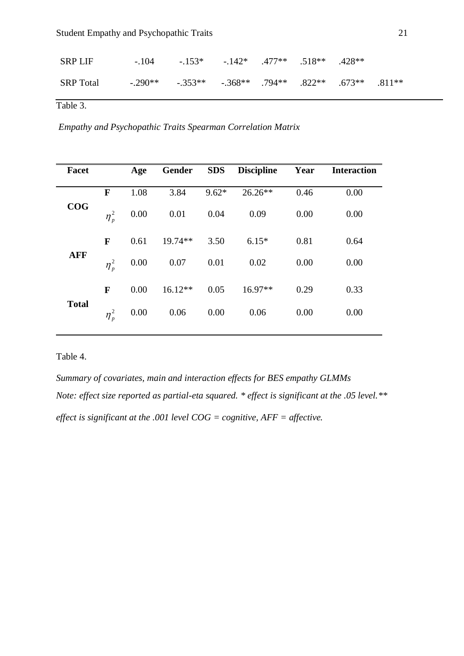| SRP LIF   |                                                                          | $-104$ $-153^*$ $-142^*$ $-477^{**}$ $-518^{**}$ $-428^{**}$ |  |  |  |
|-----------|--------------------------------------------------------------------------|--------------------------------------------------------------|--|--|--|
| SRP Total | $-0.290**$ $-0.353**$ $-0.368**$ $0.794**$ $0.822**$ $0.673**$ $0.811**$ |                                                              |  |  |  |

Table 3.

*Empathy and Psychopathic Traits Spearman Correlation Matrix*

| <b>Facet</b> |                | Age  | Gender    | <b>SDS</b> | <b>Discipline</b> | Year | <b>Interaction</b> |
|--------------|----------------|------|-----------|------------|-------------------|------|--------------------|
|              | F              | 1.08 | 3.84      | $9.62*$    | $26.26**$         | 0.46 | 0.00               |
| COG          | $\eta_p^2$     | 0.00 | 0.01      | 0.04       | 0.09              | 0.00 | 0.00               |
| <b>AFF</b>   | F              | 0.61 | $19.74**$ | 3.50       | $6.15*$           | 0.81 | 0.64               |
|              | $\eta_{p}^{2}$ | 0.00 | 0.07      | 0.01       | 0.02              | 0.00 | 0.00               |
|              | F              | 0.00 | $16.12**$ | 0.05       | $16.97**$         | 0.29 | 0.33               |
| <b>Total</b> | $\eta_{p}^{2}$ | 0.00 | 0.06      | 0.00       | 0.06              | 0.00 | 0.00               |

## Table 4.

*Summary of covariates, main and interaction effects for BES empathy GLMMs Note: effect size reported as partial-eta squared. \* effect is significant at the .05 level.\*\* effect is significant at the .001 level COG = cognitive, AFF = affective.*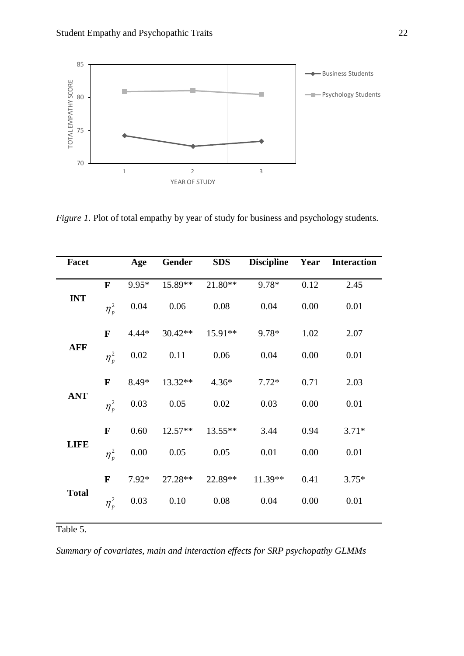

*Figure 1.* Plot of total empathy by year of study for business and psychology students.

| <b>Facet</b> |              | Age     | Gender    | <b>SDS</b> | <b>Discipline</b> | Year | <b>Interaction</b> |
|--------------|--------------|---------|-----------|------------|-------------------|------|--------------------|
|              | $\mathbf{F}$ | $9.95*$ | 15.89**   | $21.80**$  | 9.78*             | 0.12 | 2.45               |
| <b>INT</b>   | $\eta_p^2$   | 0.04    | 0.06      | $0.08\,$   | 0.04              | 0.00 | 0.01               |
|              | $\mathbf F$  | $4.44*$ | 30.42**   | 15.91**    | 9.78*             | 1.02 | 2.07               |
| <b>AFF</b>   | $\eta_p^2$   | 0.02    | 0.11      | 0.06       | 0.04              | 0.00 | 0.01               |
|              | $\mathbf{F}$ | 8.49*   | 13.32**   | $4.36*$    | $7.72*$           | 0.71 | 2.03               |
| <b>ANT</b>   | $\eta_p^2$   | 0.03    | 0.05      | 0.02       | 0.03              | 0.00 | 0.01               |
|              | $\mathbf F$  | 0.60    | $12.57**$ | $13.55**$  | 3.44              | 0.94 | $3.71*$            |
| <b>LIFE</b>  | $\eta_p^2$   | 0.00    | 0.05      | 0.05       | 0.01              | 0.00 | 0.01               |
|              | $\mathbf F$  | $7.92*$ | 27.28**   | 22.89**    | 11.39**           | 0.41 | $3.75*$            |
| <b>Total</b> | $\eta_p^2$   | 0.03    | 0.10      | 0.08       | 0.04              | 0.00 | 0.01               |

Table 5.

*Summary of covariates, main and interaction effects for SRP psychopathy GLMMs*